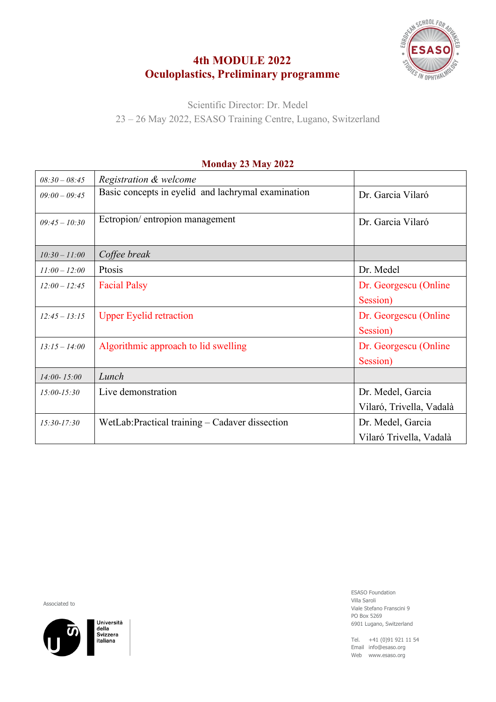### **4th MODULE 2022 Oculoplastics, Preliminary programme**



Scientific Director: Dr. Medel 23 – 26 May 2022, ESASO Training Centre, Lugano, Switzerland

# *08:30 – 08:45 Registration & welcome*  $09:00-09:45$  Basic concepts in eyelid and lachrymal examination  $\boxed{Dr.$  Garcia Vilaró  $\begin{array}{c|c} 0.99945 - 10.30 \end{array}$  Ectropion/ entropion management Dr. Garcia Vilaró *10:30 – 11:00 Coffee break 11:00 – 12:00* Ptosis Dr. Medel *12:00 – 12:45* Facial Palsy Dr. Georgescu (Online Session) *12:45 – 13:15* Upper Eyelid retraction Dr. Georgescu (Online Session) 13:15 – 14:00 Algorithmic approach to lid swelling Dr. Georgescu (Online Session) *14:00- 15:00 Lunch 15:00-15:30* Live demonstration Dr. Medel, Garcia Vilaró, Trivella, Vadalà *15:30-17:30* WetLab:Practical training – Cadaver dissection Dr. Medel, Garcia Vilaró Trivella, Vadalà

#### **Monday 23 May 2022**

Associated to



Università della aena<br>Svizzera italiana

ESASO Foundation Villa Saroli Viale Stefano Franscini 9 PO Box 5269 6901 Lugano, Switzerland

Tel. +41 (0)91 921 11 54 Email info@esaso.org Web www.esaso.org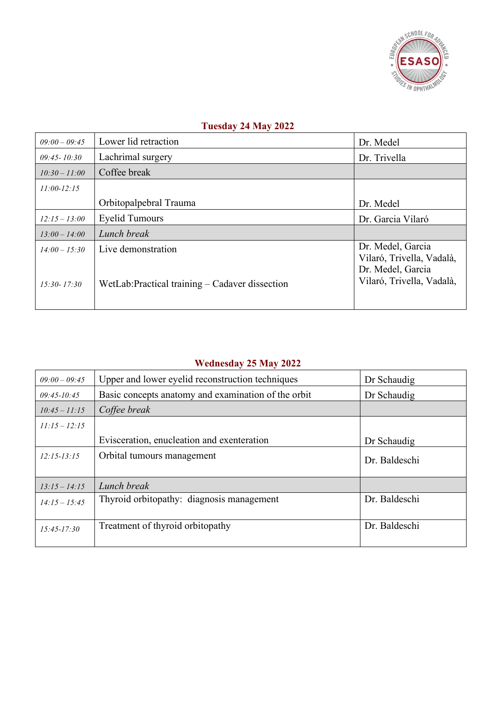

#### **Tuesday 24 May 2022**

| $09:00 - 09:45$                    | Lower lid retraction                                                  | Dr. Medel                                                                                        |
|------------------------------------|-----------------------------------------------------------------------|--------------------------------------------------------------------------------------------------|
| $09:45 - 10:30$                    | Lachrimal surgery                                                     | Dr. Trivella                                                                                     |
| $10:30 - 11:00$                    | Coffee break                                                          |                                                                                                  |
| $11:00-12:15$                      |                                                                       |                                                                                                  |
|                                    | Orbitopalpebral Trauma                                                | Dr. Medel                                                                                        |
| $12:15 - 13:00$                    | <b>Eyelid Tumours</b>                                                 | Dr. Garcia Vilaró                                                                                |
| $13:00 - 14:00$                    | Lunch break                                                           |                                                                                                  |
| $14:00 - 15:30$<br>$15:30 - 17:30$ | Live demonstration<br>WetLab: Practical training – Cadaver dissection | Dr. Medel, Garcia<br>Vilaró, Trivella, Vadalà,<br>Dr. Medel, Garcia<br>Vilaró, Trivella, Vadalà, |
|                                    |                                                                       |                                                                                                  |

## **Wednesday 25 May 2022**

| $09:00 - 09:45$ | Upper and lower eyelid reconstruction techniques    | Dr Schaudig   |
|-----------------|-----------------------------------------------------|---------------|
| $09:45 - 10:45$ | Basic concepts anatomy and examination of the orbit | Dr Schaudig   |
| $10:45 - 11:15$ | Coffee break                                        |               |
| $11:15 - 12:15$ |                                                     |               |
|                 | Evisceration, enucleation and exenteration          | Dr Schaudig   |
| $12:15 - 13:15$ | Orbital tumours management                          | Dr. Baldeschi |
| $13:15 - 14:15$ | Lunch break                                         |               |
| $14:15 - 15:45$ | Thyroid orbitopathy: diagnosis management           | Dr. Baldeschi |
| $15:45 - 17:30$ | Treatment of thyroid orbitopathy                    | Dr. Baldeschi |